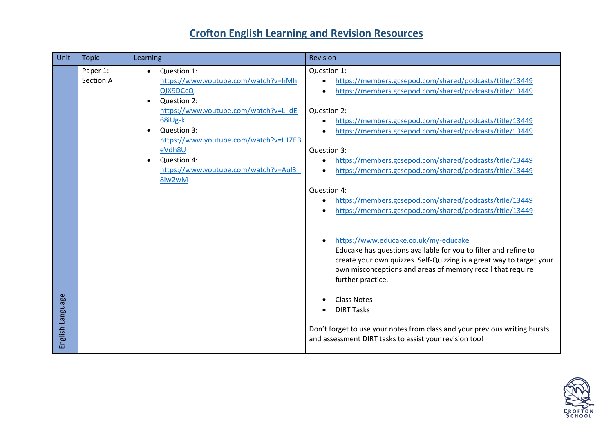| Unit             | <b>Topic</b>          | Learning                                                                                                                                               | Revision                                                                                                                                                                                                                                                                                         |
|------------------|-----------------------|--------------------------------------------------------------------------------------------------------------------------------------------------------|--------------------------------------------------------------------------------------------------------------------------------------------------------------------------------------------------------------------------------------------------------------------------------------------------|
|                  | Paper 1:<br>Section A | Question 1:<br>https://www.youtube.com/watch?v=hMh<br><b>QIX9DCcQ</b><br>Question 2:<br>https://www.youtube.com/watch?v=L_dE<br>68iUg-k<br>Question 3: | Question 1:<br>https://members.gcsepod.com/shared/podcasts/title/13449<br>$\bullet$<br>https://members.gcsepod.com/shared/podcasts/title/13449<br>$\bullet$<br>Question 2:<br>https://members.gcsepod.com/shared/podcasts/title/13449<br>https://members.gcsepod.com/shared/podcasts/title/13449 |
|                  |                       | https://www.youtube.com/watch?v=L1ZEB<br>eVdh8U<br>Question 4:<br>https://www.youtube.com/watch?v=Aul3<br>8iw2wM                                       | Question 3:<br>https://members.gcsepod.com/shared/podcasts/title/13449<br>$\bullet$<br>https://members.gcsepod.com/shared/podcasts/title/13449<br>$\bullet$                                                                                                                                      |
|                  |                       |                                                                                                                                                        | Question 4:<br>https://members.gcsepod.com/shared/podcasts/title/13449<br>https://members.gcsepod.com/shared/podcasts/title/13449<br>$\bullet$                                                                                                                                                   |
|                  |                       |                                                                                                                                                        | https://www.educake.co.uk/my-educake<br>$\bullet$<br>Educake has questions available for you to filter and refine to<br>create your own quizzes. Self-Quizzing is a great way to target your<br>own misconceptions and areas of memory recall that require<br>further practice.                  |
| English Language |                       |                                                                                                                                                        | <b>Class Notes</b><br><b>DIRT Tasks</b><br>Don't forget to use your notes from class and your previous writing bursts<br>and assessment DIRT tasks to assist your revision too!                                                                                                                  |

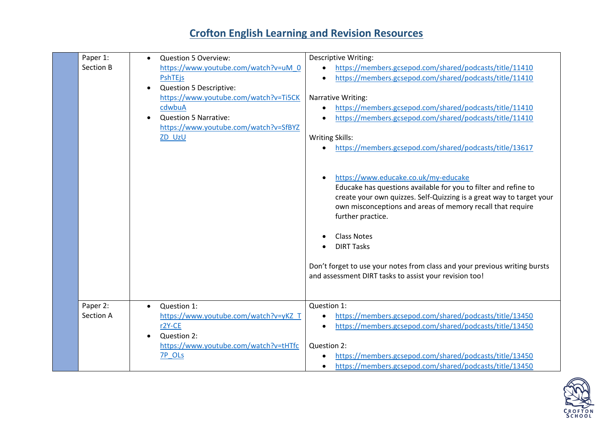| Paper 1:<br>Section B | <b>Question 5 Overview:</b><br>$\bullet$<br>https://www.youtube.com/watch?v=uM_0<br>PshTEjs<br><b>Question 5 Descriptive:</b><br>$\bullet$<br>https://www.youtube.com/watch?v=Ti5CK<br>cdwbuA<br><b>Question 5 Narrative:</b><br>https://www.youtube.com/watch?v=SfBYZ<br>ZD UzU | <b>Descriptive Writing:</b><br>https://members.gcsepod.com/shared/podcasts/title/11410<br>$\bullet$<br>https://members.gcsepod.com/shared/podcasts/title/11410<br>$\bullet$<br>Narrative Writing:<br>https://members.gcsepod.com/shared/podcasts/title/11410<br>$\bullet$<br>https://members.gcsepod.com/shared/podcasts/title/11410<br>$\bullet$<br><b>Writing Skills:</b><br>https://members.gcsepod.com/shared/podcasts/title/13617<br>$\bullet$<br>https://www.educake.co.uk/my-educake<br>$\bullet$<br>Educake has questions available for you to filter and refine to<br>create your own quizzes. Self-Quizzing is a great way to target your<br>own misconceptions and areas of memory recall that require<br>further practice.<br><b>Class Notes</b><br>$\bullet$<br><b>DIRT Tasks</b><br>Don't forget to use your notes from class and your previous writing bursts<br>and assessment DIRT tasks to assist your revision too! |
|-----------------------|----------------------------------------------------------------------------------------------------------------------------------------------------------------------------------------------------------------------------------------------------------------------------------|----------------------------------------------------------------------------------------------------------------------------------------------------------------------------------------------------------------------------------------------------------------------------------------------------------------------------------------------------------------------------------------------------------------------------------------------------------------------------------------------------------------------------------------------------------------------------------------------------------------------------------------------------------------------------------------------------------------------------------------------------------------------------------------------------------------------------------------------------------------------------------------------------------------------------------------|
| Paper 2:<br>Section A | Question 1:<br>https://www.youtube.com/watch?v=yKZ_T<br>r2Y-CE<br>Question 2:<br>https://www.youtube.com/watch?v=tHTfc<br><b>7P OLs</b>                                                                                                                                          | Question 1:<br>https://members.gcsepod.com/shared/podcasts/title/13450<br>https://members.gcsepod.com/shared/podcasts/title/13450<br>$\bullet$<br>Question 2:<br>https://members.gcsepod.com/shared/podcasts/title/13450<br>https://members.gcsepod.com/shared/podcasts/title/13450<br>$\bullet$                                                                                                                                                                                                                                                                                                                                                                                                                                                                                                                                                                                                                                       |

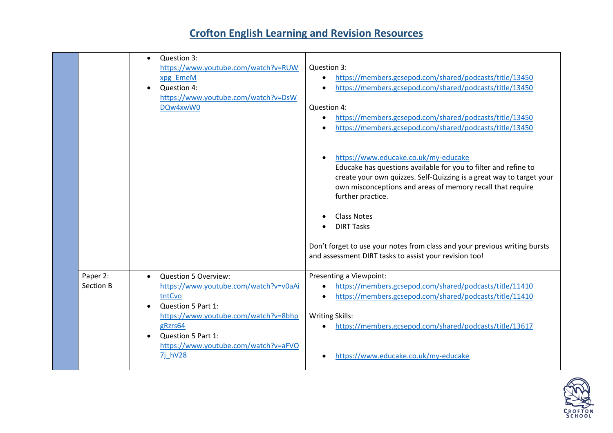|                       | Question 3:<br>$\bullet$<br>https://www.youtube.com/watch?v=RUW<br>xpg EmeM<br>Question 4:<br>$\bullet$<br>https://www.youtube.com/watch?v=DsW<br>DQw4xwW0                                                                                                 | Question 3:<br>https://members.gcsepod.com/shared/podcasts/title/13450<br>$\bullet$<br>https://members.gcsepod.com/shared/podcasts/title/13450<br>$\bullet$<br>Question 4:<br>https://members.gcsepod.com/shared/podcasts/title/13450<br>$\bullet$<br>https://members.gcsepod.com/shared/podcasts/title/13450<br>https://www.educake.co.uk/my-educake<br>$\bullet$<br>Educake has questions available for you to filter and refine to<br>create your own quizzes. Self-Quizzing is a great way to target your<br>own misconceptions and areas of memory recall that require<br>further practice.<br><b>Class Notes</b><br><b>DIRT Tasks</b><br>Don't forget to use your notes from class and your previous writing bursts<br>and assessment DIRT tasks to assist your revision too! |
|-----------------------|------------------------------------------------------------------------------------------------------------------------------------------------------------------------------------------------------------------------------------------------------------|-------------------------------------------------------------------------------------------------------------------------------------------------------------------------------------------------------------------------------------------------------------------------------------------------------------------------------------------------------------------------------------------------------------------------------------------------------------------------------------------------------------------------------------------------------------------------------------------------------------------------------------------------------------------------------------------------------------------------------------------------------------------------------------|
| Paper 2:<br>Section B | <b>Question 5 Overview:</b><br>$\bullet$<br>https://www.youtube.com/watch?v=v0aAi<br>tntCvo<br>Question 5 Part 1:<br>$\bullet$<br>https://www.youtube.com/watch?v=8bhp<br>gRzrs64<br>Question 5 Part 1:<br>https://www.youtube.com/watch?v=aFVO<br>7j hV28 | Presenting a Viewpoint:<br>https://members.gcsepod.com/shared/podcasts/title/11410<br>$\bullet$<br>https://members.gcsepod.com/shared/podcasts/title/11410<br>$\bullet$<br><b>Writing Skills:</b><br>https://members.gcsepod.com/shared/podcasts/title/13617<br>$\bullet$<br>https://www.educake.co.uk/my-educake<br>$\bullet$                                                                                                                                                                                                                                                                                                                                                                                                                                                      |

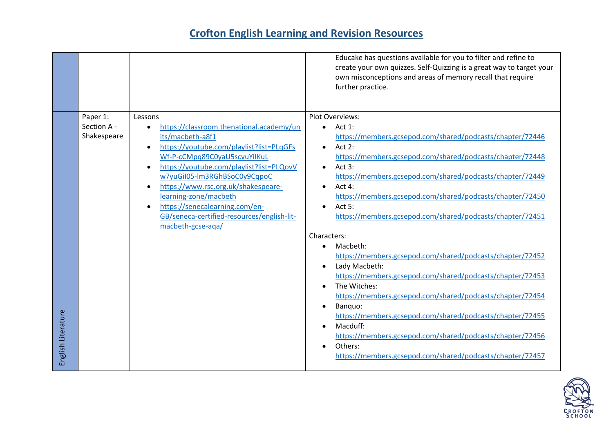|                    |                                        |                                                                                                                                                                                                                                                                                                                                                                                                                                | Educake has questions available for you to filter and refine to<br>create your own quizzes. Self-Quizzing is a great way to target your<br>own misconceptions and areas of memory recall that require<br>further practice.                                                                                                                                                                                                                                                                                                                                                                                                                                                                                                                                                                                                                                                                                                                                                         |
|--------------------|----------------------------------------|--------------------------------------------------------------------------------------------------------------------------------------------------------------------------------------------------------------------------------------------------------------------------------------------------------------------------------------------------------------------------------------------------------------------------------|------------------------------------------------------------------------------------------------------------------------------------------------------------------------------------------------------------------------------------------------------------------------------------------------------------------------------------------------------------------------------------------------------------------------------------------------------------------------------------------------------------------------------------------------------------------------------------------------------------------------------------------------------------------------------------------------------------------------------------------------------------------------------------------------------------------------------------------------------------------------------------------------------------------------------------------------------------------------------------|
| English Literature | Paper 1:<br>Section A -<br>Shakespeare | Lessons<br>https://classroom.thenational.academy/un<br>$\bullet$<br>its/macbeth-a8f1<br>https://youtube.com/playlist?list=PLqGFs<br>$\bullet$<br>Wf-P-cCMpq89C0yaU5scvuYilKuL<br>https://youtube.com/playlist?list=PLQovV<br>w7yuGiI05-lm3RGhBSoC0y9CqpoC<br>https://www.rsc.org.uk/shakespeare-<br>learning-zone/macbeth<br>https://senecalearning.com/en-<br>GB/seneca-certified-resources/english-lit-<br>macbeth-gcse-aqa/ | Plot Overviews:<br>$\bullet$ Act 1:<br>https://members.gcsepod.com/shared/podcasts/chapter/72446<br>Act 2:<br>$\bullet$<br>https://members.gcsepod.com/shared/podcasts/chapter/72448<br>Act $3:$<br>$\bullet$<br>https://members.gcsepod.com/shared/podcasts/chapter/72449<br>Act 4:<br>$\bullet$<br>https://members.gcsepod.com/shared/podcasts/chapter/72450<br>Act 5:<br>$\bullet$<br>https://members.gcsepod.com/shared/podcasts/chapter/72451<br>Characters:<br>Macbeth:<br>$\bullet$<br>https://members.gcsepod.com/shared/podcasts/chapter/72452<br>Lady Macbeth:<br>https://members.gcsepod.com/shared/podcasts/chapter/72453<br>The Witches:<br>https://members.gcsepod.com/shared/podcasts/chapter/72454<br>Banquo:<br>$\bullet$<br>https://members.gcsepod.com/shared/podcasts/chapter/72455<br>Macduff:<br>$\bullet$<br>https://members.gcsepod.com/shared/podcasts/chapter/72456<br>Others:<br>$\bullet$<br>https://members.gcsepod.com/shared/podcasts/chapter/72457 |

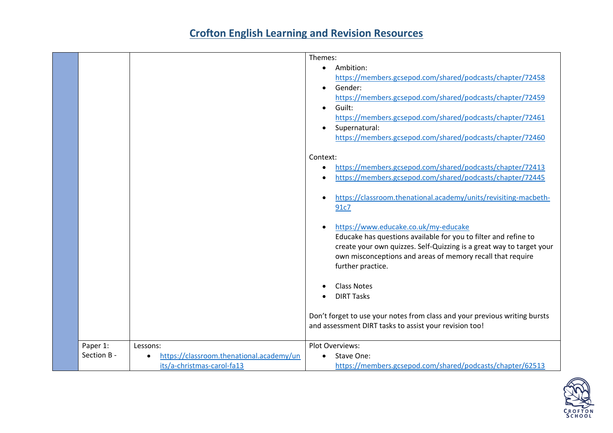|             |                                          | Themes:                                                                                                                                                                                                                                                    |
|-------------|------------------------------------------|------------------------------------------------------------------------------------------------------------------------------------------------------------------------------------------------------------------------------------------------------------|
|             |                                          | Ambition:<br>$\bullet$                                                                                                                                                                                                                                     |
|             |                                          | https://members.gcsepod.com/shared/podcasts/chapter/72458                                                                                                                                                                                                  |
|             |                                          | Gender:<br>$\bullet$                                                                                                                                                                                                                                       |
|             |                                          | https://members.gcsepod.com/shared/podcasts/chapter/72459                                                                                                                                                                                                  |
|             |                                          | Guilt:<br>$\bullet$                                                                                                                                                                                                                                        |
|             |                                          | https://members.gcsepod.com/shared/podcasts/chapter/72461                                                                                                                                                                                                  |
|             |                                          | Supernatural:<br>$\bullet$                                                                                                                                                                                                                                 |
|             |                                          | https://members.gcsepod.com/shared/podcasts/chapter/72460                                                                                                                                                                                                  |
|             |                                          |                                                                                                                                                                                                                                                            |
|             |                                          | Context:                                                                                                                                                                                                                                                   |
|             |                                          | https://members.gcsepod.com/shared/podcasts/chapter/72413<br>$\bullet$                                                                                                                                                                                     |
|             |                                          | https://members.gcsepod.com/shared/podcasts/chapter/72445<br>$\bullet$                                                                                                                                                                                     |
|             |                                          | https://classroom.thenational.academy/units/revisiting-macbeth-<br>$\bullet$<br>91c7                                                                                                                                                                       |
|             |                                          | https://www.educake.co.uk/my-educake<br>$\bullet$<br>Educake has questions available for you to filter and refine to<br>create your own quizzes. Self-Quizzing is a great way to target your<br>own misconceptions and areas of memory recall that require |
|             |                                          | further practice.                                                                                                                                                                                                                                          |
|             |                                          | <b>Class Notes</b>                                                                                                                                                                                                                                         |
|             |                                          | <b>DIRT Tasks</b>                                                                                                                                                                                                                                          |
|             |                                          |                                                                                                                                                                                                                                                            |
|             |                                          | Don't forget to use your notes from class and your previous writing bursts<br>and assessment DIRT tasks to assist your revision too!                                                                                                                       |
| Paper 1:    | Lessons:                                 | Plot Overviews:                                                                                                                                                                                                                                            |
| Section B - | https://classroom.thenational.academy/un | Stave One:                                                                                                                                                                                                                                                 |
|             | its/a-christmas-carol-fa13               | https://members.gcsepod.com/shared/podcasts/chapter/62513                                                                                                                                                                                                  |

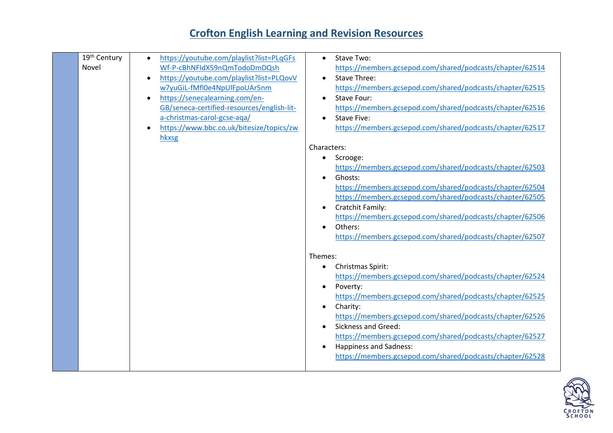| 19 <sup>th</sup> Century | https://youtube.com/playlist?list=PLqGFs<br>$\bullet$ | Stave Two:<br>$\bullet$                                                |
|--------------------------|-------------------------------------------------------|------------------------------------------------------------------------|
| Novel                    | Wf-P-cBhNFIdX59nQmTodoDmDQsh                          | https://members.gcsepod.com/shared/podcasts/chapter/62514              |
|                          | https://youtube.com/playlist?list=PLQovV<br>$\bullet$ | Stave Three:<br>$\bullet$                                              |
|                          | w7yuGiL-fMfl0e4NpUlFpoUAr5nm                          | https://members.gcsepod.com/shared/podcasts/chapter/62515              |
|                          | https://senecalearning.com/en-<br>$\bullet$           | Stave Four:                                                            |
|                          | GB/seneca-certified-resources/english-lit-            | https://members.gcsepod.com/shared/podcasts/chapter/62516              |
|                          | a-christmas-carol-gcse-aqa/                           | Stave Five:                                                            |
|                          | https://www.bbc.co.uk/bitesize/topics/zw              | https://members.gcsepod.com/shared/podcasts/chapter/62517              |
|                          | hkxsg                                                 |                                                                        |
|                          |                                                       | Characters:                                                            |
|                          |                                                       | Scrooge:<br>$\bullet$                                                  |
|                          |                                                       | https://members.gcsepod.com/shared/podcasts/chapter/62503              |
|                          |                                                       | Ghosts:<br>$\bullet$                                                   |
|                          |                                                       | https://members.gcsepod.com/shared/podcasts/chapter/62504              |
|                          |                                                       | https://members.gcsepod.com/shared/podcasts/chapter/62505              |
|                          |                                                       | Cratchit Family:<br>$\bullet$                                          |
|                          |                                                       | https://members.gcsepod.com/shared/podcasts/chapter/62506              |
|                          |                                                       | Others:<br>$\bullet$                                                   |
|                          |                                                       | https://members.gcsepod.com/shared/podcasts/chapter/62507              |
|                          |                                                       | Themes:                                                                |
|                          |                                                       | Christmas Spirit:                                                      |
|                          |                                                       | $\bullet$<br>https://members.gcsepod.com/shared/podcasts/chapter/62524 |
|                          |                                                       | Poverty:<br>$\bullet$                                                  |
|                          |                                                       | https://members.gcsepod.com/shared/podcasts/chapter/62525              |
|                          |                                                       | Charity:<br>$\bullet$                                                  |
|                          |                                                       | https://members.gcsepod.com/shared/podcasts/chapter/62526              |
|                          |                                                       | <b>Sickness and Greed:</b><br>$\bullet$                                |
|                          |                                                       | https://members.gcsepod.com/shared/podcasts/chapter/62527              |
|                          |                                                       | <b>Happiness and Sadness:</b><br>$\bullet$                             |
|                          |                                                       | https://members.gcsepod.com/shared/podcasts/chapter/62528              |
|                          |                                                       |                                                                        |

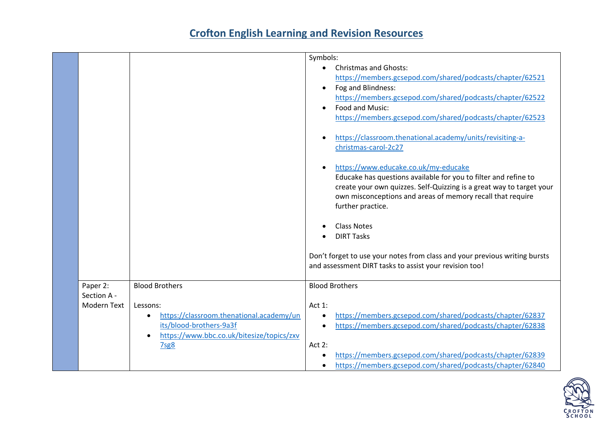|                         |                                                                                                                                                   | Symbols:<br><b>Christmas and Ghosts:</b><br>$\bullet$<br>https://members.gcsepod.com/shared/podcasts/chapter/62521<br>Fog and Blindness:<br>$\bullet$<br>https://members.gcsepod.com/shared/podcasts/chapter/62522<br>Food and Music:<br>https://members.gcsepod.com/shared/podcasts/chapter/62523<br>https://classroom.thenational.academy/units/revisiting-a-<br>$\bullet$<br>christmas-carol-2c27<br>https://www.educake.co.uk/my-educake<br>$\bullet$<br>Educake has questions available for you to filter and refine to<br>create your own quizzes. Self-Quizzing is a great way to target your<br>own misconceptions and areas of memory recall that require<br>further practice.<br><b>Class Notes</b><br><b>DIRT Tasks</b><br>Don't forget to use your notes from class and your previous writing bursts |
|-------------------------|---------------------------------------------------------------------------------------------------------------------------------------------------|------------------------------------------------------------------------------------------------------------------------------------------------------------------------------------------------------------------------------------------------------------------------------------------------------------------------------------------------------------------------------------------------------------------------------------------------------------------------------------------------------------------------------------------------------------------------------------------------------------------------------------------------------------------------------------------------------------------------------------------------------------------------------------------------------------------|
| Paper 2:<br>Section A - | <b>Blood Brothers</b>                                                                                                                             | and assessment DIRT tasks to assist your revision too!<br><b>Blood Brothers</b>                                                                                                                                                                                                                                                                                                                                                                                                                                                                                                                                                                                                                                                                                                                                  |
| Modern Text             | Lessons:<br>https://classroom.thenational.academy/un<br>its/blood-brothers-9a3f<br>https://www.bbc.co.uk/bitesize/topics/zxv<br>$\bullet$<br>7sg8 | Act 1:<br>https://members.gcsepod.com/shared/podcasts/chapter/62837<br>$\bullet$<br>https://members.gcsepod.com/shared/podcasts/chapter/62838<br>$\bullet$<br>Act $2:$<br>https://members.gcsepod.com/shared/podcasts/chapter/62839<br>$\bullet$<br>https://members.gcsepod.com/shared/podcasts/chapter/62840<br>$\bullet$                                                                                                                                                                                                                                                                                                                                                                                                                                                                                       |

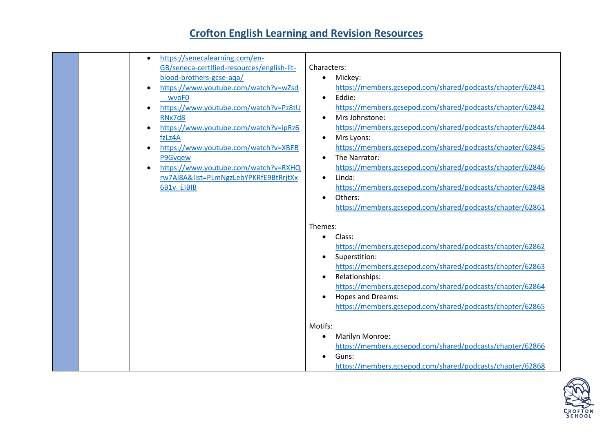|  | https://senecalearning.com/en-<br>$\bullet$<br>GB/seneca-certified-resources/english-lit-<br>blood-brothers-gcse-aga/<br>https://www.youtube.com/watch?v=wZsd<br>$\bullet$<br>wvoF0<br>https://www.youtube.com/watch?v=Pz8tU<br>RNx7d8<br>https://www.youtube.com/watch?v=ipRz6<br>$\bullet$<br>fzLz4A<br>https://www.youtube.com/watch?v=XBEB<br>$\bullet$<br><b>P9Gvgew</b><br>https://www.youtube.com/watch?v=RXHQ<br>rw7AI8A&list=PLmNgzLebYPKRfE9BtRrjtXx<br><b>6B1v EIBIB</b> | Characters:<br>Mickey:<br>$\bullet$<br>https://members.gcsepod.com/shared/podcasts/chapter/62841<br>Eddie:<br>$\bullet$<br>https://members.gcsepod.com/shared/podcasts/chapter/62842<br>Mrs Johnstone:<br>$\bullet$<br>https://members.gcsepod.com/shared/podcasts/chapter/62844<br>Mrs Lyons:<br>$\bullet$<br>https://members.gcsepod.com/shared/podcasts/chapter/62845<br>The Narrator:<br>$\bullet$<br>https://members.gcsepod.com/shared/podcasts/chapter/62846<br>Linda:<br>$\bullet$<br>https://members.gcsepod.com/shared/podcasts/chapter/62848<br>Others:<br>https://members.gcsepod.com/shared/podcasts/chapter/62861 |
|--|-------------------------------------------------------------------------------------------------------------------------------------------------------------------------------------------------------------------------------------------------------------------------------------------------------------------------------------------------------------------------------------------------------------------------------------------------------------------------------------|---------------------------------------------------------------------------------------------------------------------------------------------------------------------------------------------------------------------------------------------------------------------------------------------------------------------------------------------------------------------------------------------------------------------------------------------------------------------------------------------------------------------------------------------------------------------------------------------------------------------------------|
|  |                                                                                                                                                                                                                                                                                                                                                                                                                                                                                     | Themes:<br>Class:<br>https://members.gcsepod.com/shared/podcasts/chapter/62862<br>Superstition:<br>https://members.gcsepod.com/shared/podcasts/chapter/62863<br>Relationships:<br>$\bullet$<br>https://members.gcsepod.com/shared/podcasts/chapter/62864<br>Hopes and Dreams:<br>https://members.gcsepod.com/shared/podcasts/chapter/62865<br>Motifs:<br>Marilyn Monroe:<br>$\bullet$<br>https://members.gcsepod.com/shared/podcasts/chapter/62866<br>Guns:<br>https://members.gcsepod.com/shared/podcasts/chapter/62868                                                                                                        |

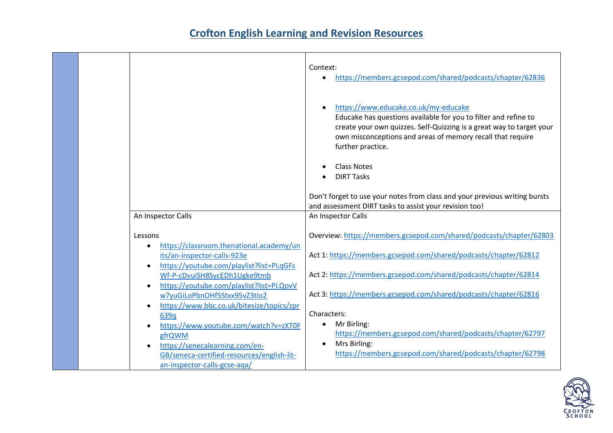|  |                                                                                      | Context:<br>https://members.gcsepod.com/shared/podcasts/chapter/62836<br>$\bullet$                                                                                                                                                                                              |
|--|--------------------------------------------------------------------------------------|---------------------------------------------------------------------------------------------------------------------------------------------------------------------------------------------------------------------------------------------------------------------------------|
|  |                                                                                      | https://www.educake.co.uk/my-educake<br>$\bullet$<br>Educake has questions available for you to filter and refine to<br>create your own quizzes. Self-Quizzing is a great way to target your<br>own misconceptions and areas of memory recall that require<br>further practice. |
|  |                                                                                      | <b>Class Notes</b><br><b>DIRT Tasks</b>                                                                                                                                                                                                                                         |
|  |                                                                                      | Don't forget to use your notes from class and your previous writing bursts<br>and assessment DIRT tasks to assist your revision too!                                                                                                                                            |
|  | An Inspector Calls                                                                   | An Inspector Calls                                                                                                                                                                                                                                                              |
|  | Lessons                                                                              | Overview: https://members.gcsepod.com/shared/podcasts/chapter/62803                                                                                                                                                                                                             |
|  | https://classroom.thenational.academy/un<br>$\bullet$<br>its/an-inspector-calls-923e | Act 1: https://members.gcsepod.com/shared/podcasts/chapter/62812                                                                                                                                                                                                                |
|  | https://youtube.com/playlist?list=PLqGFs<br>Wf-P-cDvuiSH8SycEDh1Ugke9tmb             | Act 2: https://members.gcsepod.com/shared/podcasts/chapter/62814                                                                                                                                                                                                                |
|  | https://youtube.com/playlist?list=PLQovV<br>w7yuGiLoPbnOHf5Stxx95vZ3tlo2             | Act 3: https://members.gcsepod.com/shared/podcasts/chapter/62816                                                                                                                                                                                                                |
|  | https://www.bbc.co.uk/bitesize/topics/zpr<br>$\bullet$<br>639q                       | Characters:                                                                                                                                                                                                                                                                     |
|  | https://www.youtube.com/watch?v=zXT0F                                                | Mr Birling:<br>$\bullet$                                                                                                                                                                                                                                                        |
|  | gfrQWM                                                                               | https://members.gcsepod.com/shared/podcasts/chapter/62797                                                                                                                                                                                                                       |
|  | https://senecalearning.com/en-<br>GB/seneca-certified-resources/english-lit-         | Mrs Birling:<br>$\bullet$<br>https://members.gcsepod.com/shared/podcasts/chapter/62798                                                                                                                                                                                          |
|  | an-inspector-calls-gcse-aga/                                                         |                                                                                                                                                                                                                                                                                 |

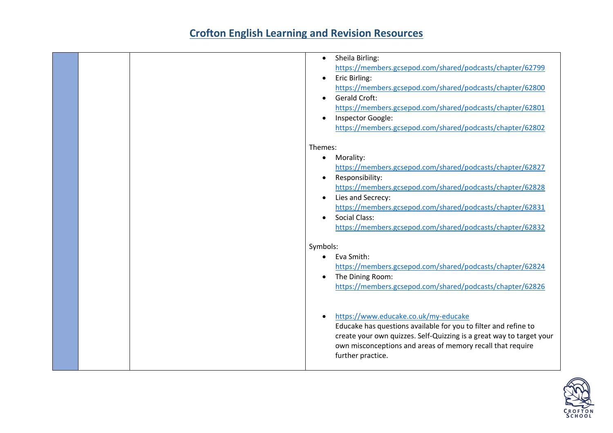|  | Sheila Birling:                                                      |
|--|----------------------------------------------------------------------|
|  | $\bullet$                                                            |
|  | https://members.gcsepod.com/shared/podcasts/chapter/62799            |
|  | Eric Birling:<br>$\bullet$                                           |
|  | https://members.gcsepod.com/shared/podcasts/chapter/62800            |
|  | <b>Gerald Croft:</b><br>$\bullet$                                    |
|  | https://members.gcsepod.com/shared/podcasts/chapter/62801            |
|  | Inspector Google:<br>$\bullet$                                       |
|  | https://members.gcsepod.com/shared/podcasts/chapter/62802            |
|  |                                                                      |
|  | Themes:                                                              |
|  | Morality:<br>$\bullet$                                               |
|  | https://members.gcsepod.com/shared/podcasts/chapter/62827            |
|  | Responsibility:<br>$\bullet$                                         |
|  | https://members.gcsepod.com/shared/podcasts/chapter/62828            |
|  | Lies and Secrecy:<br>$\bullet$                                       |
|  | https://members.gcsepod.com/shared/podcasts/chapter/62831            |
|  | <b>Social Class:</b><br>$\bullet$                                    |
|  | https://members.gcsepod.com/shared/podcasts/chapter/62832            |
|  |                                                                      |
|  | Symbols:                                                             |
|  | Eva Smith:                                                           |
|  | https://members.gcsepod.com/shared/podcasts/chapter/62824            |
|  | The Dining Room:<br>$\bullet$                                        |
|  | https://members.gcsepod.com/shared/podcasts/chapter/62826            |
|  |                                                                      |
|  |                                                                      |
|  | https://www.educake.co.uk/my-educake                                 |
|  | Educake has questions available for you to filter and refine to      |
|  | create your own quizzes. Self-Quizzing is a great way to target your |
|  | own misconceptions and areas of memory recall that require           |
|  | further practice.                                                    |
|  |                                                                      |